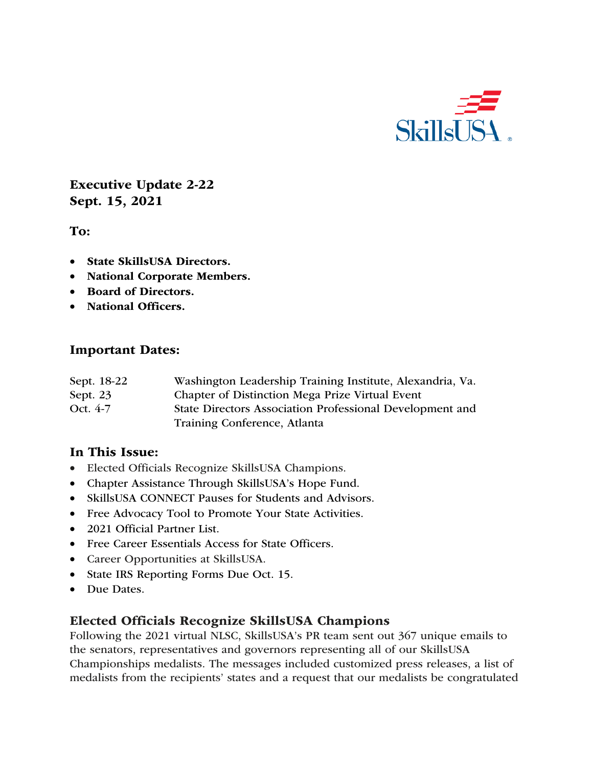

Executive Update 2-22 Sept. 15, 2021

To:

- State SkillsUSA Directors.
- National Corporate Members.
- Board of Directors.
- National Officers.

#### Important Dates:

| Sept. 18-22 | Washington Leadership Training Institute, Alexandria, Va. |
|-------------|-----------------------------------------------------------|
| Sept. $23$  | Chapter of Distinction Mega Prize Virtual Event           |
| Oct. 4-7    | State Directors Association Professional Development and  |
|             | Training Conference, Atlanta                              |

#### In This Issue:

- Elected Officials Recognize SkillsUSA Champions.
- Chapter Assistance Through SkillsUSA's Hope Fund.
- SkillsUSA CONNECT Pauses for Students and Advisors.
- Free Advocacy Tool to Promote Your State Activities.
- 2021 Official Partner List.
- Free Career Essentials Access for State Officers.
- Career Opportunities at SkillsUSA.
- State IRS Reporting Forms Due Oct. 15.
- Due Dates.

#### Elected Officials Recognize SkillsUSA Champions

Following the 2021 virtual NLSC, SkillsUSA's PR team sent out 367 unique emails to the senators, representatives and governors representing all of our SkillsUSA Championships medalists. The messages included customized press releases, a list of medalists from the recipients' states and a request that our medalists be congratulated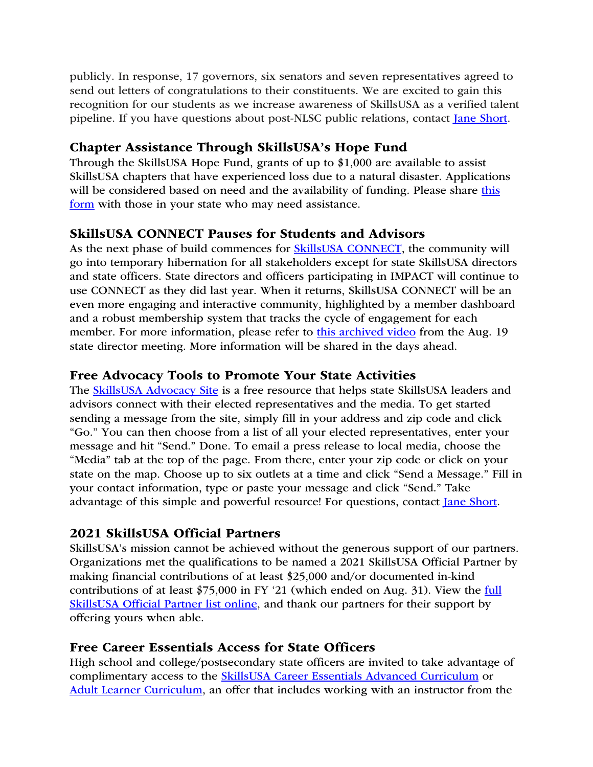publicly. In response, 17 governors, six senators and seven representatives agreed to send out letters of congratulations to their constituents. We are excited to gain this recognition for our students as we increase awareness of SkillsUSA as a verified talent pipeline. If you have questions about post-NLSC public relations, contact Jane Short.

# Chapter Assistance Through SkillsUSA's Hope Fund

Through the SkillsUSA Hope Fund, grants of up to \$1,000 are available to assist SkillsUSA chapters that have experienced loss due to a natural disaster. Applications will be considered based on need and the availability of funding. Please share this form with those in your state who may need assistance.

## SkillsUSA CONNECT Pauses for Students and Advisors

As the next phase of build commences for **SkillsUSA CONNECT**, the community will go into temporary hibernation for all stakeholders except for state SkillsUSA directors and state officers. State directors and officers participating in IMPACT will continue to use CONNECT as they did last year. When it returns, SkillsUSA CONNECT will be an even more engaging and interactive community, highlighted by a member dashboard and a robust membership system that tracks the cycle of engagement for each member. For more information, please refer to this archived video from the Aug. 19 state director meeting. More information will be shared in the days ahead.

## Free Advocacy Tools to Promote Your State Activities

The SkillsUSA Advocacy Site is a free resource that helps state SkillsUSA leaders and advisors connect with their elected representatives and the media. To get started sending a message from the site, simply fill in your address and zip code and click "Go." You can then choose from a list of all your elected representatives, enter your message and hit "Send." Done. To email a press release to local media, choose the "Media" tab at the top of the page. From there, enter your zip code or click on your state on the map. Choose up to six outlets at a time and click "Send a Message." Fill in your contact information, type or paste your message and click "Send." Take advantage of this simple and powerful resource! For questions, contact Jane Short.

## 2021 SkillsUSA Official Partners

SkillsUSA's mission cannot be achieved without the generous support of our partners. Organizations met the qualifications to be named a 2021 SkillsUSA Official Partner by making financial contributions of at least \$25,000 and/or documented in-kind contributions of at least \$75,000 in FY '21 (which ended on Aug. 31). View the full SkillsUSA Official Partner list online, and thank our partners for their support by offering yours when able.

## Free Career Essentials Access for State Officers

High school and college/postsecondary state officers are invited to take advantage of complimentary access to the SkillsUSA Career Essentials Advanced Curriculum or Adult Learner Curriculum, an offer that includes working with an instructor from the